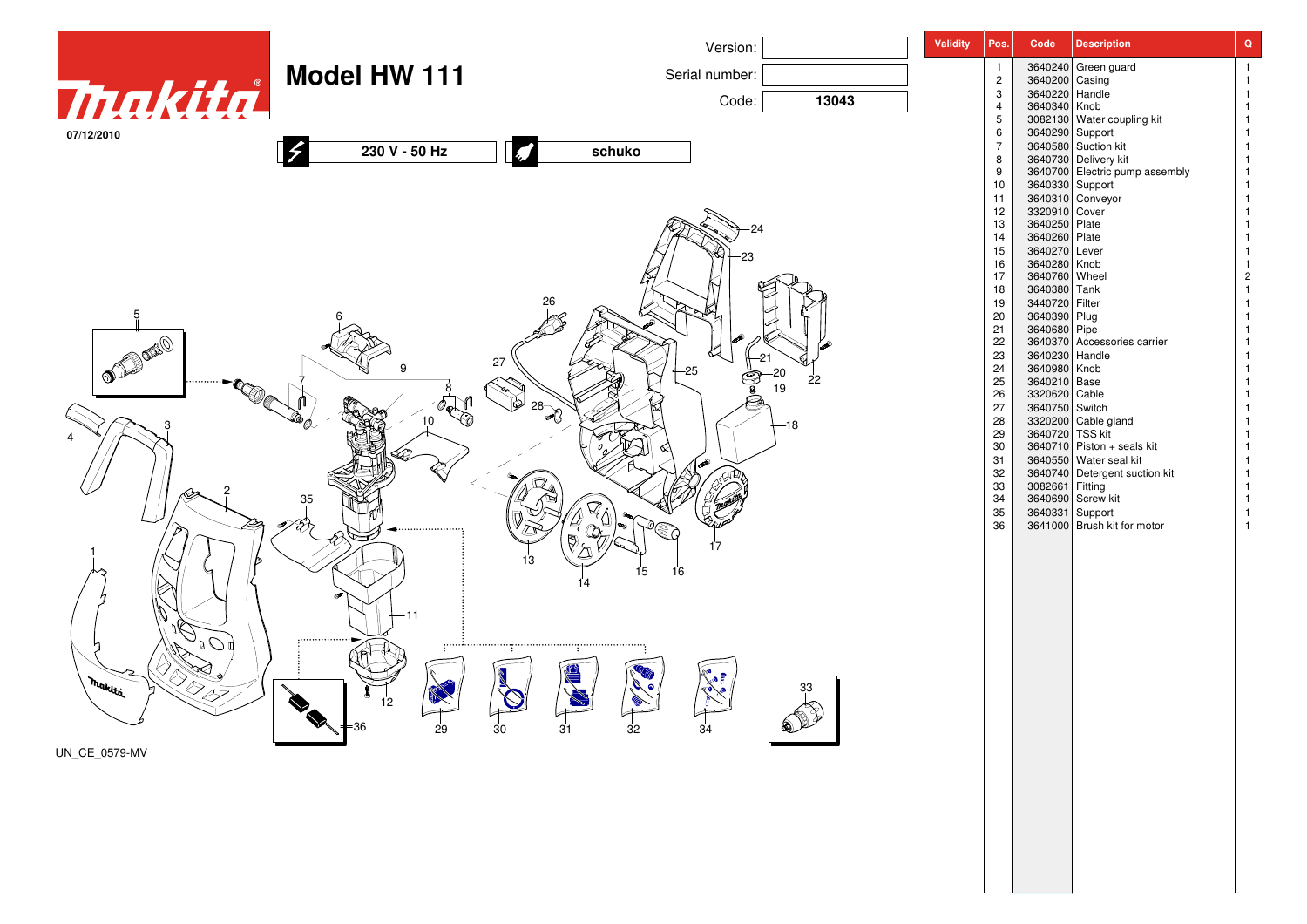|                           |                      | Version:                                                      | <b>Validity</b> | Pos.                           | Code                             | <b>Description</b>                                       | $\mathbf Q$                      |
|---------------------------|----------------------|---------------------------------------------------------------|-----------------|--------------------------------|----------------------------------|----------------------------------------------------------|----------------------------------|
|                           | <b>Model HW 111</b>  | Serial number:                                                |                 | $\mathbf{1}$                   |                                  | 3640240 Green guard                                      | $\overline{1}$                   |
| <b>Thakita</b>            |                      |                                                               |                 | $\overline{c}$<br>$\mathbf{3}$ | 3640200 Casing<br>3640220 Handle |                                                          | $\overline{1}$<br>$\mathbf{1}$   |
|                           |                      | Code:<br>13043                                                |                 | $\overline{4}$                 | 3640340 Knob                     |                                                          | $\overline{1}$                   |
| 07/12/2010                |                      |                                                               |                 | $5\phantom{.0}$<br>6           |                                  | 3082130<br>3082130 Water coupling kit<br>3640290 Support | $\overline{1}$<br>$\mathbf{1}$   |
|                           | 230 V - 50 Hz        | schuko                                                        |                 | $\overline{7}$                 |                                  | 3640580 Suction kit                                      | $\overline{1}$                   |
|                           |                      |                                                               |                 | 8<br>9                         |                                  | 3640730 Delivery kit<br>3640730 Electric pump assembly   |                                  |
|                           |                      |                                                               |                 | 10                             |                                  | 3640330 Support                                          | $\mathbf{1}$                     |
|                           |                      |                                                               |                 | 11<br>12                       | 3320910 Cover                    | 3640310 Conveyor                                         | $\overline{1}$<br>$\overline{1}$ |
|                           |                      |                                                               |                 | 13                             | 3640250 Plate                    |                                                          | $\overline{1}$                   |
|                           |                      |                                                               |                 | 14                             | 3640260 Plate                    |                                                          | $\overline{1}$                   |
|                           |                      |                                                               |                 | 15<br>16                       | 3640270 Lever<br>3640280 Knob    |                                                          | $\overline{1}$<br>-1             |
|                           |                      |                                                               |                 | 17                             | 3640760 Wheel                    |                                                          | $\overline{c}$                   |
|                           |                      |                                                               |                 | 18<br>19                       | 3640380 Tank<br>3440720 Filter   |                                                          |                                  |
| 5                         |                      |                                                               |                 | 20                             | 3640390 Plug                     |                                                          |                                  |
|                           |                      |                                                               |                 | 21<br>22                       | 3640680 Pipe                     | 3640370 Accessories carrier                              | $\overline{1}$                   |
|                           |                      |                                                               |                 | 23                             | 3640230 Handle                   |                                                          | $\overline{1}$                   |
| $\overline{\text{max}}$   |                      | $-25$                                                         |                 | 24                             | 3640980 Knob                     |                                                          |                                  |
|                           |                      | 22                                                            |                 | 25<br>26                       | 3640210 Base<br>3320620 Cable    |                                                          | $\overline{1}$<br>$\overline{1}$ |
|                           |                      | $\sim$ 28 $\rightarrow$                                       |                 | 27                             | 3640750 Switch                   |                                                          |                                  |
|                           |                      | -18                                                           |                 | 28<br>29                       | 3640720 TSS kit                  | 3320200 Cable gland                                      |                                  |
|                           |                      |                                                               |                 | 30                             |                                  | 3640710 Piston + seals kit                               |                                  |
|                           |                      |                                                               |                 | 31<br>32                       |                                  | 3640550 Water seal kit<br>3640740 Detergent suction kit  |                                  |
|                           |                      |                                                               |                 | 33                             | 3082661 Fitting                  |                                                          |                                  |
|                           | 35                   |                                                               |                 | 34                             |                                  | 3640690 Screw kit                                        |                                  |
|                           |                      |                                                               |                 | 35<br>36                       |                                  | 3640331 Support<br>3641000 Brush kit for motor           | $\overline{1}$                   |
|                           |                      | 17                                                            |                 |                                |                                  |                                                          |                                  |
|                           |                      |                                                               |                 |                                |                                  |                                                          |                                  |
|                           |                      | 16<br>15                                                      |                 |                                |                                  |                                                          |                                  |
|                           |                      |                                                               |                 |                                |                                  |                                                          |                                  |
|                           |                      |                                                               |                 |                                |                                  |                                                          |                                  |
|                           |                      |                                                               |                 |                                |                                  |                                                          |                                  |
| $\overline{O}$            |                      |                                                               |                 |                                |                                  |                                                          |                                  |
|                           |                      |                                                               |                 |                                |                                  |                                                          |                                  |
| IR<br>I<br>. Makita       |                      | 33                                                            |                 |                                |                                  |                                                          |                                  |
|                           |                      |                                                               |                 |                                |                                  |                                                          |                                  |
| $\widetilde{\phantom{m}}$ | $\sqrt{}$ = 36<br>29 | $\mathbb{P}$<br>$\overline{30}$<br>3 <sup>1</sup><br>32<br>34 |                 |                                |                                  |                                                          |                                  |
| UN_CE_0579-MV             |                      |                                                               |                 |                                |                                  |                                                          |                                  |
|                           |                      |                                                               |                 |                                |                                  |                                                          |                                  |
|                           |                      |                                                               |                 |                                |                                  |                                                          |                                  |
|                           |                      |                                                               |                 |                                |                                  |                                                          |                                  |
|                           |                      |                                                               |                 |                                |                                  |                                                          |                                  |
|                           |                      |                                                               |                 |                                |                                  |                                                          |                                  |
|                           |                      |                                                               |                 |                                |                                  |                                                          |                                  |
|                           |                      |                                                               |                 |                                |                                  |                                                          |                                  |
|                           |                      |                                                               |                 |                                |                                  |                                                          |                                  |